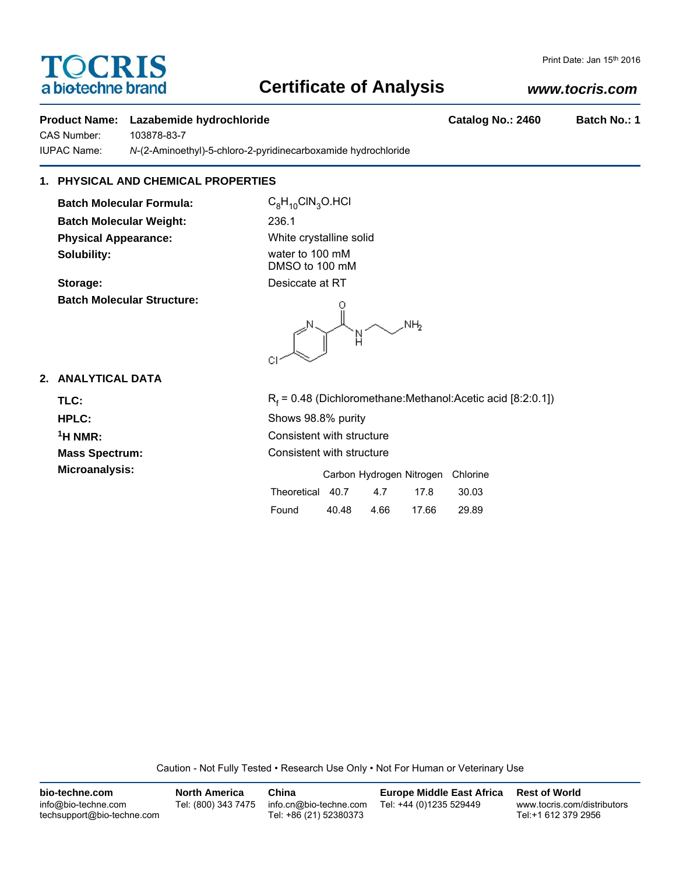# TOCRIS a biotechne brand

# **Certificate of Analysis**

# *www.tocris.com*

Print Date: Jan 15th 2016

#### **Product Name:** Lazabemide hydrochloride **Catalog No.: 2460** Batch No.: 1

CAS Number: 103878-83-7

IUPAC Name: *N*-(2-Aminoethyl)-5-chloro-2-pyridinecarboxamide hydrochloride

## **1. PHYSICAL AND CHEMICAL PROPERTIES**

**Batch Molecular Formula:** C<sub>8</sub>H<sub>10</sub>ClN<sub>3</sub>O.HCl **Batch Molecular Weight:** 236.1 **Physical Appearance:** White crystalline solid **Solubility:** water to 100 mM

**Batch Molecular Structure:**

DMSO to 100 mM **Storage:** Desiccate at RT

.<br>NH<sub>2</sub> N СI

## **2. ANALYTICAL DATA**

TLC: R<sub>f</sub> **HPLC:** Shows 98.8% purity

 $R_f$  = 0.48 (Dichloromethane:Methanol:Acetic acid [8:2:0.1]) **1H NMR:** Consistent with structure **Mass Spectrum:** Consistent with structure Microanalysis: **Microanalysis:** Carbon Hydrogen Nitrogen Chlorine Theoretical 40.7 4.7 17.8 30.03 Found 40.48 4.66 17.66 29.89

Caution - Not Fully Tested • Research Use Only • Not For Human or Veterinary Use

| bio-techne.com                                    | <b>North America</b> | China                                            | <b>Europe Middle East Africa</b> | <b>Rest of World</b>                               |
|---------------------------------------------------|----------------------|--------------------------------------------------|----------------------------------|----------------------------------------------------|
| info@bio-techne.com<br>techsupport@bio-techne.com | Tel: (800) 343 7475  | info.cn@bio-techne.com<br>Tel: +86 (21) 52380373 | Tel: +44 (0)1235 529449          | www.tocris.com/distributors<br>Tel:+1 612 379 2956 |